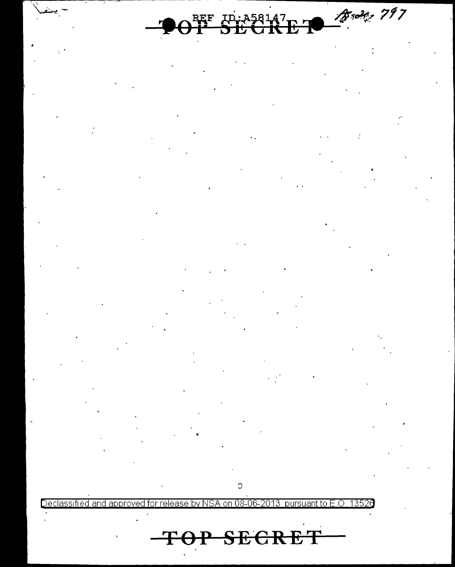REF ID: A58147 P 25020 797  $\overline{\mathbf{r}}$ 

C)

Declassified and approved for release by NSA on 08-06-2013 pursuant to E.O. 13526

TOP SECRET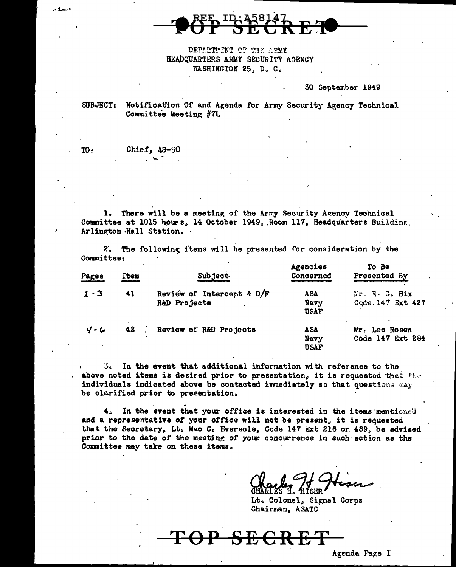

DEPARTMENT OF THE ARMY HEADQUARTERS ARMY SECURITY AGENCY WASHINGTON 25, D. C.

## 30 September 1949

**SUBJECT:** Notification Of and Agenda for Army Security Agency Technical Committee Meeting #7L

TO<sub>s</sub> Chief, AS-90

1. There will be a meeting of the Army Security Agency Technical Committee at 1015 hours, 14 October 1949, Room 117, Headquarters Building. Arlington Hall Station.

2. The following items will be presented for consideration by the Committee:

| Pages   | Item | Subject                                     | <b>Agencles</b><br>Concerned | TO BE<br>Presented By                   |
|---------|------|---------------------------------------------|------------------------------|-----------------------------------------|
| $1 - 3$ | 41   | Review of Intercept & $D/F$<br>R&D Projects | ASA<br>Navy<br><b>USAF</b>   | $Kr = R - G_0$ Hix<br>Code. 147 Ext 427 |
| 4 - 6   | 42   | Review of R&D Projects                      | ASA<br>Navy<br><b>USAF</b>   | Mr. Leo Rosen<br>Code 147 Ext 284       |

3. In the event that additional information with reference to the above noted items is desired prior to presentation, it is requested that the individuals indicated above be contacted immediately so that questions may be clarified prior to presentation.

4. In the event that your office is interested in the items mentioned and a representative of your office will not be present, it is requested that the Secretary, Lt. Mac C. Eversole, Code 147 Ext 216 or 489, be advised prior to the date of the meeting of your concurrence in such action as the Committee may take on these items.

Lt. Colonel, Signal Corps Chairman, ASATC

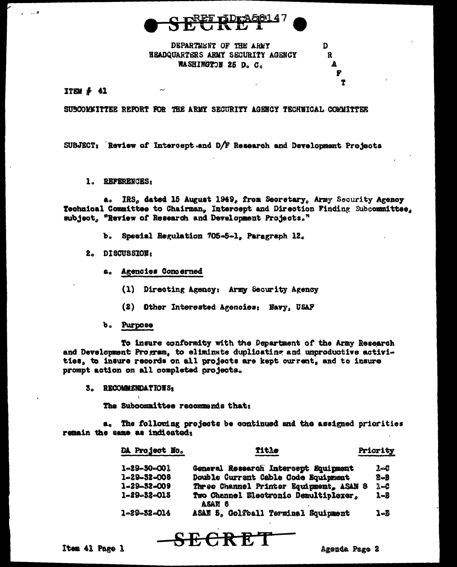

DEPARTMENT OF THE ARMY HEADQUARTERS ARMY SECURITY AGENCY WASHINGTON 25 D. C.

D.

 $\mathbf{R}$ 

T

 $ITSE # 41$ 

SUBCOMMITTEE REPORT FOR THE ARMY SECURITY AGENCY TECHNICAL COMMITTEE

SUBJECT: Review of Intercept and D/F Research and Development Projects

1. REPERENCES:

a. IRS, dated 15 August 1949, from Secretary, Army Security Agency Technical Committee to Chairman, Intercept and Direction Finding Subcommittee, subject, "Review of Research and Development Projects."

b. Special Regulation 705-5-1, Paragraph 12.

- 2. DISCUSSION:
	- a. Agencies Concerned

 $\sim$ 

- (1) Directing Agency: Army Security Agency
- (2) Other Interested Agencies: Navy, USAF
- b. Purpose

To insure conformity with the Department of the Army Research and Development Program, to eliminate duplicating and unproductive activities, to insure records on all projects are kept current, and to insure prompt action on all completed projects.

3. RECOMMENDATIONS:

The Subcommittee recommends that:

<del>S R</del>

The following projects be continued and the assigned priorities **8.** remain the same as indicated:

<del>CX K K T</del>

| DA Project No.      | Title                                           | Priority |  |
|---------------------|-------------------------------------------------|----------|--|
| $1 - 29 - 50 - 001$ | General Research Intercept Equipment            | 1-6      |  |
| $1 - 29 - 32 - 008$ | Double Current Cable Code Equipment             | $2 - B$  |  |
| $1 - 29 - 52 - 009$ | Three Channel Printer Equipment, ASAN 8         | ใ⊷¢      |  |
| $1 - 29 - 52 - 013$ | Two Channel Electronic Demultiplexer,<br>ASAN 6 | 1-B      |  |
| $1 - 29 - 52 - 014$ | ASAN 5, Golfball Terminal Squipment             | 1-B      |  |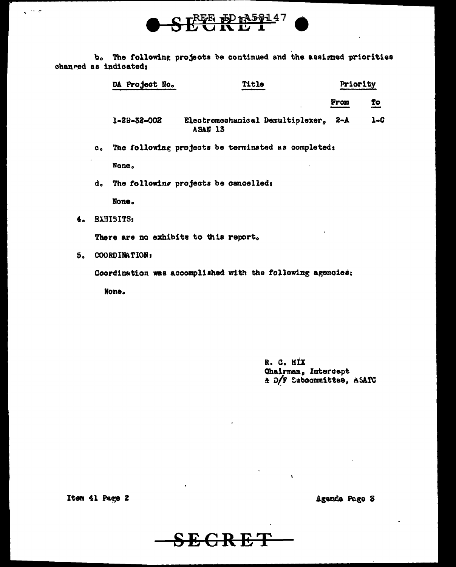

b. The following projects be continued and the assigned priorities changed as indicated:

|    | DA Project No. |               | <b>Title</b>                                       | Priority |         |
|----|----------------|---------------|----------------------------------------------------|----------|---------|
|    |                |               |                                                    | From     | Τo      |
|    |                | 1-29-32-002   | Electromechanical Demultiplexer,<br>ASAN 13        | 2-A      | $1 - C$ |
|    | $c_{\bullet}$  |               | The following projects be terminated as completed: |          |         |
| ٠  |                | None.         |                                                    |          |         |
|    | d.             |               | The following projects be cancelled:               |          |         |
|    |                | None.         |                                                    |          |         |
| 4. |                | EXHIBITS:     |                                                    |          |         |
|    |                |               | There are no exhibits to this report.              |          |         |
| 5. |                | COORDINATION: |                                                    |          |         |

Coordination was accomplished with the following agencies:

None.

 $\frac{1}{2}$  is  $\frac{1}{2}$ 

R. C. HIX Chairman, Intercept + D/F Subcommittee, ASATC

 $\ddot{\phantom{a}}$ 

Item 41 Page 2

**EGRET**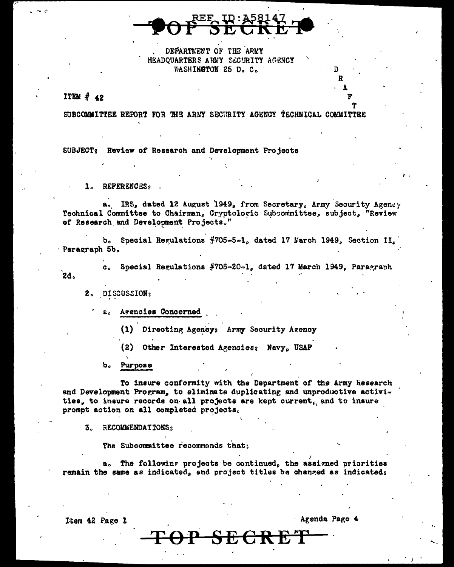DEPARTMENT OF THE ARMY HEADQUARTERS ARMY SECURITY AGENCY WASHINGTON 25 D. C.

## ITEM  $#$  42

## SUBCOMMITTEE REPORT FOR THE ARMY SECURITY AGENCY TECHNICAL COMMITTEE

SUBJECT: Review of Research and Development Projects

1. REFERENCES:

IRS, dated 12 August 1949, from Secretary, Army Security Agency а. Technical Committee to Chairman, Cryptologic Subcommittee, subject, "Review of Research and Development Projects."

b. Special Regulations  $\frac{3}{4}705-5-1$ , dated 17 March 1949, Section II, Paragraph 5b.

c. Special Regulations #705-20-1, dated 17 March 1949, Paragraph  $2d<sub>o</sub>$ 

2. DISCUSSION:

Agencies Concerned ž.

(1) Directing Agency: Army Security Agency

(2) Other Interested Agencies; Navy, USAF

b. Purpose

To insure conformity with the Department of the Army Research and Development Program, to eliminate duplicating and unproductive activities, to insure records on all projects are kept current, and to insure prompt action on all completed projects.

RECOMMENDATIONS. 3.

The Subcommittee recommends that:

a. The following projects be continued, the assigned priorities remain the same as indicated, and project titles be changed as indicated:

<del>UК</del>

Item 42 Page 1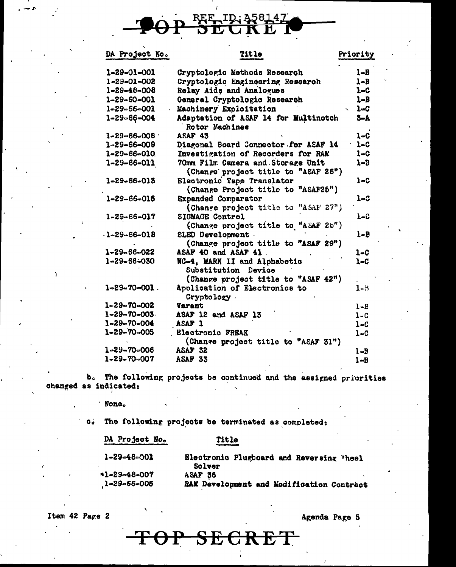| DA Project No.        | Title                                                                                      | Priority    |  |
|-----------------------|--------------------------------------------------------------------------------------------|-------------|--|
| $1 - 29 - 01 - 001$   | Cryptologic Methods Research                                                               | $1 - B$     |  |
| 1-29-01-002           | Cryptologic Engineering Research                                                           |             |  |
| 1-29-48-008           | Relay Aids and Analogues                                                                   | $1 - C$     |  |
| $1 - 29 - 60 - 001$   | General Cryptologic Research                                                               | $1 - B$     |  |
| 1-29-66-001           | Machinery Exploitation                                                                     | $1 - C$     |  |
| 1-29-66-004           | Adaptation of ASAF 14 for Multinotch<br>Rotor Machines                                     | $3-A$       |  |
| $1 - 29 - 66 - 008$   | ASAF 43                                                                                    | $1 - C$     |  |
| 1-29-66-009           | Diagonal Board Connector for ASAF 14                                                       | $1 - C$     |  |
| 1-29-66-010           | Investigation of Recorders for RAM                                                         | $1 - C$     |  |
| 1-29-66-011           | 70mm Film Camera and Storage Unit<br>(Change project title to "ASAF 26")                   | $1-3$       |  |
| 1-29-66-013           | Electronic Tape Translator<br>(Change Project title to "ASAF25")                           | 1-C         |  |
| 1-29-66-015           | <b>Expanded Comparator</b><br>(Change project title to "ASAF 27")                          | 1-0         |  |
| $1 - 29 - 66 - 017$   | SIGMAGE Control<br>(Change project title to "ASAF 2b")                                     | 1-C         |  |
| $-1 - 29 - 66 - 018$  | SLED Development.<br>(Change project title to "ASAF 29")                                   | $1 - B$     |  |
| 1-29-66-022           | ASAF 40 and ASAF 41.                                                                       | 1-C         |  |
| 1-29-66-030           | NC-4, MARK II and Alphabetic<br>Substitution Device<br>(Change project title to "ASAF 42") | $1 - C$     |  |
| $1 - 29 - 70 - 001$ . | Apolication of Electronics to<br>Cryptology.                                               | $1 - \beta$ |  |
| $1 - 29 - 70 - 002$   | <b>Varant</b>                                                                              | $1 - B$     |  |
| $1 - 29 - 70 - 003$   | ASAF 12 and ASAF 13                                                                        | $1 - C$     |  |
| 1-29-70-004           | ASAF <sub>1</sub>                                                                          | $1 - C$     |  |
| $1 - 29 - 70 - 005$   | <b>Electronic FREAK</b><br>(Change project title to "ASAF 31")                             | $1 - C$     |  |
| 1-29-70-006           | ASAF 32                                                                                    | 1-3         |  |
| $1 - 29 - 70 - 007$   | ASAF 33                                                                                    | $1 - B$     |  |

b. The following projects be continued and the assigned priorities changed as indicated:

Mone.

o. The following projects be terminated as completed:

| DA Project No.       | Title                                              |
|----------------------|----------------------------------------------------|
| $1 - 29 - 48 - 001$  | Electronic Plugboard and Reversing Wheel<br>Solver |
| *1-29-48-007         | ASAF 36                                            |
| $,1 - 29 - 66 - 005$ | RAM Development and Modification Contract          |

Item 42 Page 2

 $\mathbf T$ 拉 ₩